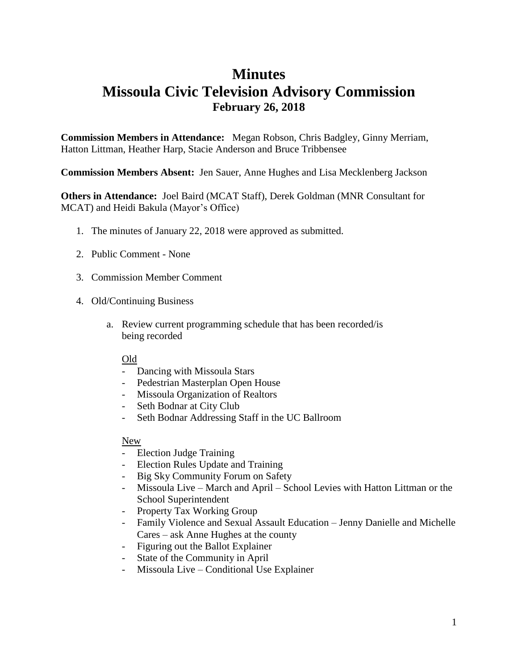## **Minutes Missoula Civic Television Advisory Commission February 26, 2018**

**Commission Members in Attendance:** Megan Robson, Chris Badgley, Ginny Merriam, Hatton Littman, Heather Harp, Stacie Anderson and Bruce Tribbensee

**Commission Members Absent:** Jen Sauer, Anne Hughes and Lisa Mecklenberg Jackson

**Others in Attendance:** Joel Baird (MCAT Staff), Derek Goldman (MNR Consultant for MCAT) and Heidi Bakula (Mayor's Office)

- 1. The minutes of January 22, 2018 were approved as submitted.
- 2. Public Comment None
- 3. Commission Member Comment
- 4. Old/Continuing Business
	- a. Review current programming schedule that has been recorded/is being recorded

## Old

- Dancing with Missoula Stars
- Pedestrian Masterplan Open House
- Missoula Organization of Realtors
- Seth Bodnar at City Club
- Seth Bodnar Addressing Staff in the UC Ballroom

## New

- Election Judge Training
- Election Rules Update and Training
- Big Sky Community Forum on Safety
- Missoula Live March and April School Levies with Hatton Littman or the School Superintendent
- Property Tax Working Group
- Family Violence and Sexual Assault Education Jenny Danielle and Michelle Cares – ask Anne Hughes at the county
- Figuring out the Ballot Explainer
- State of the Community in April
- Missoula Live Conditional Use Explainer